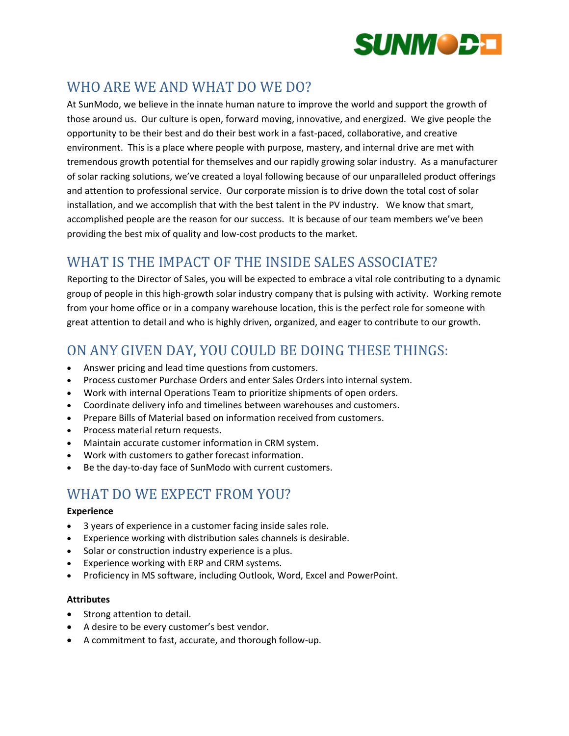

# WHO ARE WE AND WHAT DO WE DO?

At SunModo, we believe in the innate human nature to improve the world and support the growth of those around us. Our culture is open, forward moving, innovative, and energized. We give people the opportunity to be their best and do their best work in a fast-paced, collaborative, and creative environment. This is a place where people with purpose, mastery, and internal drive are met with tremendous growth potential for themselves and our rapidly growing solar industry. As a manufacturer of solar racking solutions, we've created a loyal following because of our unparalleled product offerings and attention to professional service. Our corporate mission is to drive down the total cost of solar installation, and we accomplish that with the best talent in the PV industry. We know that smart, accomplished people are the reason for our success. It is because of our team members we've been providing the best mix of quality and low-cost products to the market.

## WHAT IS THE IMPACT OF THE INSIDE SALES ASSOCIATE?

Reporting to the Director of Sales, you will be expected to embrace a vital role contributing to a dynamic group of people in this high-growth solar industry company that is pulsing with activity. Working remote from your home office or in a company warehouse location, this is the perfect role for someone with great attention to detail and who is highly driven, organized, and eager to contribute to our growth.

### ON ANY GIVEN DAY, YOU COULD BE DOING THESE THINGS:

- Answer pricing and lead time questions from customers.
- Process customer Purchase Orders and enter Sales Orders into internal system.
- Work with internal Operations Team to prioritize shipments of open orders.
- Coordinate delivery info and timelines between warehouses and customers.
- Prepare Bills of Material based on information received from customers.
- Process material return requests.
- Maintain accurate customer information in CRM system.
- Work with customers to gather forecast information.
- Be the day-to-day face of SunModo with current customers.

## WHAT DO WE EXPECT FROM YOU?

### **Experience**

- 3 years of experience in a customer facing inside sales role.
- Experience working with distribution sales channels is desirable.
- Solar or construction industry experience is a plus.
- Experience working with ERP and CRM systems.
- Proficiency in MS software, including Outlook, Word, Excel and PowerPoint.

#### **Attributes**

- Strong attention to detail.
- A desire to be every customer's best vendor.
- A commitment to fast, accurate, and thorough follow-up.